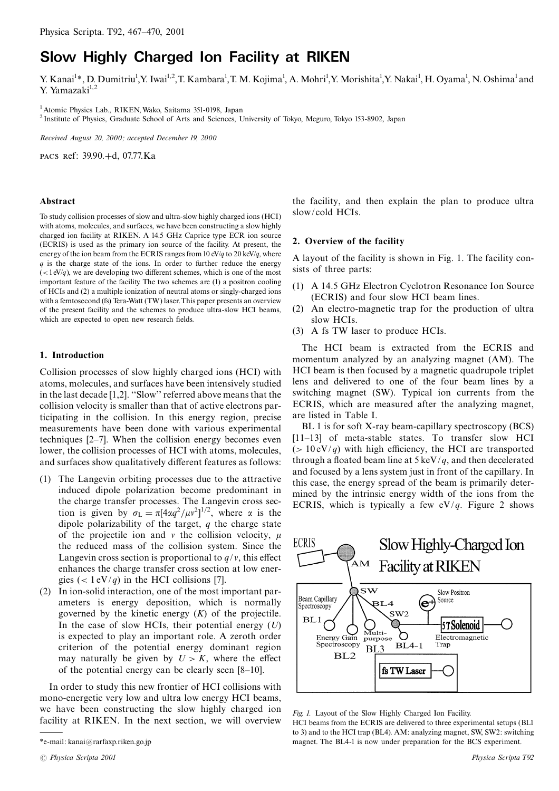# **Slow Highly Charged Ion Facility at RIKEN**

Y. Kanai<sup>1\*</sup>, D. Dumitriu<sup>1</sup>, Y. Iwai<sup>1,2</sup>, T. Kambara<sup>1</sup>, T. M. Kojima<sup>1</sup>, A. Mohri<sup>1</sup>, Y. Morishita<sup>1</sup>, Y. Nakai<sup>1</sup>, H. Oyama<sup>1</sup>, N. Oshima<sup>1</sup> and Y. Yamazaki $^{1,2}$ 

<sup>1</sup> Atomic Physics Lab., RIKEN, Wako, Saitama 351-0198, Japan

<sup>2</sup> Institute of Physics, Graduate School of Arts and Sciences, University of Tokyo, Meguro, Tokyo 153-8902, Japan

Received August 20, 2000: accepted December 19, 2000

PACS Ref: 39.90.+d, 07.77.Ka

#### Abstract

To study collision processes of slow and ultra-slow highly charged ions (HCI) with atoms, molecules, and surfaces, we have been constructing a slow highly charged ion facility at RIKEN. A 14.5 GHz Caprice type ECR ion source (ECRIS) is used as the primary ion source of the facility. At present, the energy of the ion beam from the ECRIS ranges from 10 eV/q to 20 keV/q, where  $q$  is the charge state of the ions. In order to further reduce the energy  $\left($  < 1 eV/q), we are developing two different schemes, which is one of the most important feature of the facility. The two schemes are (1) a positron cooling of HCIs and (2) a multiple ionization of neutral atoms or singly-charged ions with a femtosecond (fs) Tera-Watt (TW) laser. This paper presents an overview of the present facility and the schemes to produce ultra-slow HCI beams, which are expected to open new research fields.

#### 1. Introduction

Collision processes of slow highly charged ions (HCI) with atoms, molecules, and surfaces have been intensively studied in the last decade [1,2]. "Slow" referred above means that the collision velocity is smaller than that of active electrons participating in the collision. In this energy region, precise measurements have been done with various experimental techniques  $[2-7]$ . When the collision energy becomes even lower, the collision processes of HCI with atoms, molecules, and surfaces show qualitatively different features as follows:

- (1) The Langevin orbiting processes due to the attractive induced dipole polarization become predominant in the charge transfer processes. The Langevin cross section is given by  $\sigma_L = \pi [4\alpha q^2 / \mu v^2]^{1/2}$ , where  $\alpha$  is the dipole polarizability of the target,  $q$  the charge state of the projectile ion and  $v$  the collision velocity,  $\mu$ the reduced mass of the collision system. Since the Langevin cross section is proportional to  $q/v$ , this effect enhances the charge transfer cross section at low energies (<  $1 \text{ eV}/q$ ) in the HCI collisions [7].
- (2) In ion-solid interaction, one of the most important parameters is energy deposition, which is normally governed by the kinetic energy  $(K)$  of the projectile. In the case of slow HCIs, their potential energy  $(U)$ is expected to play an important role. A zeroth order criterion of the potential energy dominant region may naturally be given by  $U > K$ , where the effect of the potential energy can be clearly seen  $[8-10]$ .

In order to study this new frontier of HCI collisions with mono-energetic very low and ultra low energy HCI beams, we have been constructing the slow highly charged ion facility at RIKEN. In the next section, we will overview

the facility, and then explain the plan to produce ultra slow/cold HCIs.

### 2. Overview of the facility

A layout of the facility is shown in Fig. 1. The facility consists of three parts:

- (1) A 14.5 GHz Electron Cyclotron Resonance Ion Source (ECRIS) and four slow HCI beam lines.
- (2) An electro-magnetic trap for the production of ultra slow HCIs.
- (3) A fs TW laser to produce HCIs.

The HCI beam is extracted from the ECRIS and momentum analyzed by an analyzing magnet (AM). The HCI beam is then focused by a magnetic quadrupole triplet lens and delivered to one of the four beam lines by a switching magnet (SW). Typical ion currents from the ECRIS, which are measured after the analyzing magnet, are listed in Table I.

BL 1 is for soft X-ray beam-capillary spectroscopy (BCS) [11-13] of meta-stable states. To transfer slow HCI  $(> 10 \text{ eV}/q)$  with high efficiency, the HCI are transported through a floated beam line at  $5 \text{ keV}/q$ , and then decelerated and focused by a lens system just in front of the capillary. In this case, the energy spread of the beam is primarily determined by the intrinsic energy width of the ions from the ECRIS, which is typically a few  $eV/q$ . Figure 2 shows



Fig. 1. Layout of the Slow Highly Charged Ion Facility. HCI beams from the ECRIS are delivered to three experimental setups (BLI to 3) and to the HCI trap (BL4). AM: analyzing magnet, SW, SW2: switching magnet. The BL4-1 is now under preparation for the BCS experiment.

<sup>\*</sup>e-mail: kanai@rarfaxp.riken.go.jp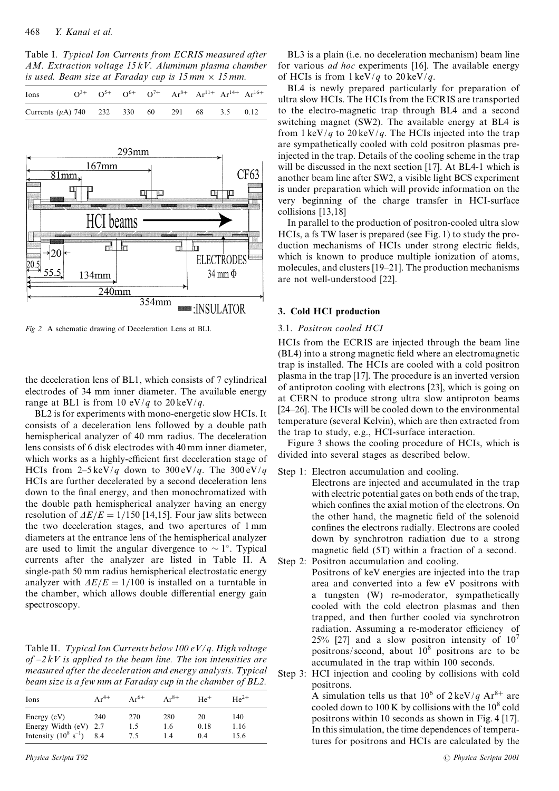Table I. Typical Ion Currents from ECRIS measured after AM. Extraction voltage  $15kV$ . Aluminum plasma chamber is used. Beam size at Faraday cup is  $15 \text{ mm} \times 15 \text{ mm}$ .

| Ions                                               |  |  | $Q^{3+}$ $Q^{5+}$ $Q^{6+}$ $Q^{7+}$ $Ar^{8+}$ $Ar^{11+}$ $Ar^{14+}$ $Ar^{16+}$ |  |  |
|----------------------------------------------------|--|--|--------------------------------------------------------------------------------|--|--|
| Currents ( $\mu$ A) 740 232 330 60 291 68 3.5 0.12 |  |  |                                                                                |  |  |



Fig 2. A schematic drawing of Deceleration Lens at BLI.

the deceleration lens of BL1, which consists of 7 cylindrical electrodes of 34 mm inner diameter. The available energy range at BL1 is from 10 eV/q to 20 keV/q.

BL2 is for experiments with mono-energetic slow HCIs. It consists of a deceleration lens followed by a double path hemispherical analyzer of 40 mm radius. The deceleration lens consists of 6 disk electrodes with 40 mm inner diameter, which works as a highly-efficient first deceleration stage of HCIs from  $2-5 \text{ keV}/q$  down to  $300 \text{ eV}/q$ . The  $300 \text{ eV}/q$ HCIs are further decelerated by a second deceleration lens down to the final energy, and then monochromatized with the double path hemispherical analyzer having an energy resolution of  $\Delta E/E = 1/150$  [14,15]. Four jaw slits between the two deceleration stages, and two apertures of 1 mm diameters at the entrance lens of the hemispherical analyzer are used to limit the angular divergence to  $\sim 1^{\circ}$ . Typical currents after the analyzer are listed in Table II. A single-path 50 mm radius hemispherical electrostatic energy analyzer with  $\Delta E/E = 1/100$  is installed on a turntable in the chamber, which allows double differential energy gain spectroscopy.

Table II. Typical Ion Currents below 100 eV/q. High voltage of  $-2kV$  is applied to the beam line. The ion intensities are measured after the deceleration and energy analysis. Typical beam size is a few mm at Faraday cup in the chamber of BL2.

| Ions                                                                          | $Ar^{4+}$  | $Ar^{6+}$         | $Ar^{8+}$         | $He+$            | $He^{2+}$           |
|-------------------------------------------------------------------------------|------------|-------------------|-------------------|------------------|---------------------|
| Energy $(eV)$<br>Energy Width $(eV)$ 2.7<br>Intensity $(10^8 \text{ s}^{-1})$ | 240<br>8.4 | 270<br>1.5<br>7.5 | 280<br>1.6<br>1.4 | 20<br>0.18<br>04 | 140<br>1.16<br>15.6 |

BL3 is a plain (i.e. no deceleration mechanism) beam line for various *ad hoc* experiments [16]. The available energy of HCIs is from  $1 \text{ keV}/q$  to  $20 \text{ keV}/q$ .

BL4 is newly prepared particularly for preparation of ultra slow HCIs. The HCIs from the ECRIS are transported to the electro-magnetic trap through BL4 and a second switching magnet (SW2). The available energy at BL4 is from  $1 \text{ keV}/q$  to  $20 \text{ keV}/q$ . The HCIs injected into the trap are sympathetically cooled with cold positron plasmas preinjected in the trap. Details of the cooling scheme in the trap will be discussed in the next section [17]. At BL4-1 which is another beam line after SW2, a visible light BCS experiment is under preparation which will provide information on the very beginning of the charge transfer in HCI-surface collisions [13,18]

In parallel to the production of positron-cooled ultra slow HCIs, a fs TW laser is prepared (see Fig. 1) to study the production mechanisms of HCIs under strong electric fields, which is known to produce multiple ionization of atoms, molecules, and clusters [19–21]. The production mechanisms are not well-understood [22].

### 3. Cold HCI production

# 3.1. Positron cooled HCI

HCIs from the ECRIS are injected through the beam line (BL4) into a strong magnetic field where an electromagnetic trap is installed. The HCIs are cooled with a cold positron plasma in the trap [17]. The procedure is an inverted version of antiproton cooling with electrons [23], which is going on at CERN to produce strong ultra slow antiproton beams [24–26]. The HCIs will be cooled down to the environmental temperature (several Kelvin), which are then extracted from the trap to study, e.g., HCI-surface interaction.

Figure 3 shows the cooling procedure of HCIs, which is divided into several stages as described below.

- Step 1: Electron accumulation and cooling.
- Electrons are injected and accumulated in the trap with electric potential gates on both ends of the trap, which confines the axial motion of the electrons. On the other hand, the magnetic field of the solenoid confines the electrons radially. Electrons are cooled down by synchrotron radiation due to a strong magnetic field (5T) within a fraction of a second. Step  $2$ : Positron accumulation and cooling.
	- Positrons of keV energies are injected into the trap area and converted into a few eV positrons with a tungsten (W) re-moderator, sympathetically cooled with the cold electron plasmas and then trapped, and then further cooled via synchrotron radiation. Assuming a re-moderator efficiency of 25% [27] and a slow positron intensity of  $10^7$ positrons/second, about  $10^8$  positrons are to be accumulated in the trap within 100 seconds.
- Step 3: HCI injection and cooling by collisions with cold positrons.

A simulation tells us that  $10^6$  of  $2 \text{ keV}/q \text{ Ar}^{8+}$  are cooled down to 100 K by collisions with the 10<sup>8</sup> cold positrons within 10 seconds as shown in Fig. 4 [17]. In this simulation, the time dependences of temperatures for positrons and HCIs are calculated by the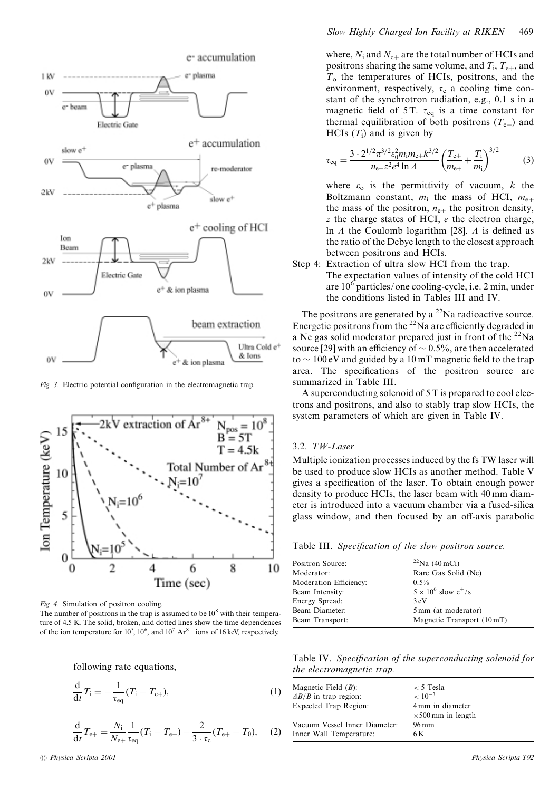

Fig. 3. Electric potential configuration in the electromagnetic trap.



Fig. 4. Simulation of positron cooling.

The number of positrons in the trap is assumed to be  $10^8$  with their temperature of 4.5 K. The solid, broken, and dotted lines show the time dependences of the ion temperature for  $10^5$ ,  $10^6$ , and  $10^7$  Ar<sup>8+</sup> ions of 16 keV, respectively.

following rate equations.

$$
\frac{d}{dt}T_i = -\frac{1}{\tau_{eq}}(T_i - T_{e+}),
$$
\n(1)

$$
\frac{d}{dt}T_{e+} = \frac{N_i}{N_{e+}} \frac{1}{\tau_{eq}} (T_i - T_{e+}) - \frac{2}{3 \cdot \tau_c} (T_{e+} - T_0), \quad (2)
$$

where,  $N_i$  and  $N_{e+}$  are the total number of HCIs and positrons sharing the same volume, and  $T_i$ ,  $T_{e+}$ , and  $T<sub>o</sub>$  the temperatures of HCIs, positrons, and the environment, respectively,  $\tau_c$  a cooling time constant of the synchrotron radiation, e.g., 0.1 s in a magnetic field of 5T.  $\tau_{eq}$  is a time constant for thermal equilibration of both positrons  $(T_{e+})$  and HCIs  $(T_i)$  and is given by

$$
\tau_{\text{eq}} = \frac{3 \cdot 2^{1/2} \pi^{3/2} \epsilon_0^2 m_i m_{\text{e+}} k^{3/2}}{n_{\text{e+}} z^2 e^4 \ln A} \left(\frac{T_{\text{e+}}}{m_{\text{e+}}} + \frac{T_i}{m_i}\right)^{3/2} \tag{3}
$$

where  $\varepsilon_0$  is the permittivity of vacuum, k the Boltzmann constant,  $m_i$  the mass of HCI,  $m_{e+}$ the mass of the positron,  $n_{e+}$  the positron density,  $z$  the charge states of HCI,  $e$  the electron charge, In  $\Lambda$  the Coulomb logarithm [28].  $\Lambda$  is defined as the ratio of the Debye length to the closest approach between positrons and HCIs.

Step 4: Extraction of ultra slow HCI from the trap. The expectation values of intensity of the cold HCI are  $10^6$  particles/one cooling-cycle, i.e. 2 min, under the conditions listed in Tables III and IV.

The positrons are generated by a  $^{22}$ Na radioactive source. Energetic positrons from the  $^{22}$ Na are efficiently degraded in a Ne gas solid moderator prepared just in front of the  $^{22}$ Na source [29] with an efficiency of  $\sim 0.5\%$ , are then accelerated to  $\sim$  100 eV and guided by a 10 mT magnetic field to the trap area. The specifications of the positron source are summarized in Table III.

A superconducting solenoid of 5 T is prepared to cool electrons and positrons, and also to stably trap slow HCIs, the system parameters of which are given in Table IV.

# 3.2. TW-Laser

Multiple ionization processes induced by the fs TW laser will be used to produce slow HCIs as another method. Table V gives a specification of the laser. To obtain enough power density to produce HCIs, the laser beam with 40 mm diameter is introduced into a vacuum chamber via a fused-silica glass window, and then focused by an off-axis parabolic

Table III. Specification of the slow positron source.

| Positron Source:       | $^{22}$ Na (40 mCi)          |
|------------------------|------------------------------|
| Moderator:             | Rare Gas Solid (Ne)          |
| Moderation Efficiency: | $0.5\%$                      |
| Beam Intensity:        | $5 \times 10^6$ slow $e^+/s$ |
| Energy Spread:         | 3eV                          |
| Beam Diameter:         | 5 mm (at moderator)          |
| Beam Transport:        | Magnetic Transport (10 mT)   |

Table IV. Specification of the superconducting solenoid for the electromagnetic trap.

| Magnetic Field $(B)$ :        | $< 5$ Tesla               |
|-------------------------------|---------------------------|
| $\Delta B/B$ in trap region:  | $~< 10^{-3}$              |
| <b>Expected Trap Region:</b>  | 4 mm in diameter          |
|                               | $\times$ 500 mm in length |
| Vacuum Vessel Inner Diameter: | 96 mm                     |
| Inner Wall Temperature:       | 6 K                       |